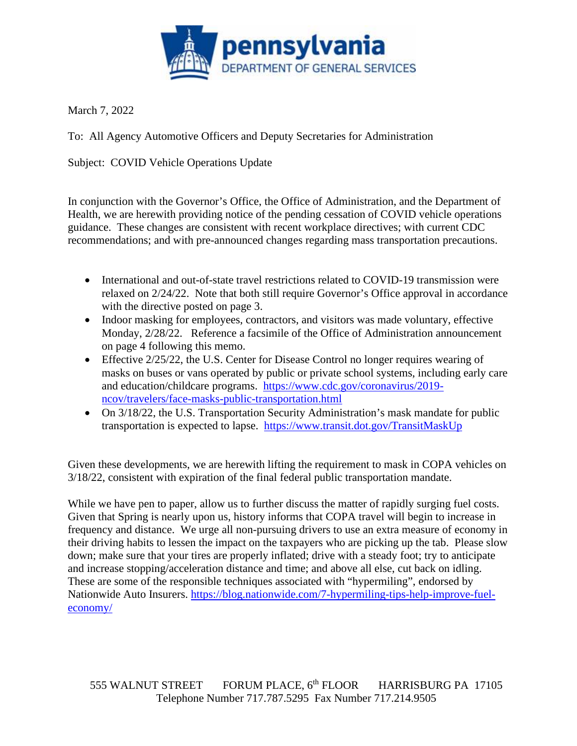

March 7, 2022

To: All Agency Automotive Officers and Deputy Secretaries for Administration

Subject: COVID Vehicle Operations Update

In conjunction with the Governor's Office, the Office of Administration, and the Department of Health, we are herewith providing notice of the pending cessation of COVID vehicle operations guidance. These changes are consistent with recent workplace directives; with current CDC recommendations; and with pre-announced changes regarding mass transportation precautions.

- International and out-of-state travel restrictions related to COVID-19 transmission were relaxed on 2/24/22. Note that both still require Governor's Office approval in accordance with the directive posted on page 3.
- Indoor masking for employees, contractors, and visitors was made voluntary, effective Monday, 2/28/22. Reference a facsimile of the Office of Administration announcement on page 4 following this memo.
- Effective 2/25/22, the U.S. Center for Disease Control no longer requires wearing of masks on buses or vans operated by public or private school systems, including early care and education/childcare programs. [https://www.cdc.gov/coronavirus/2019](https://www.cdc.gov/coronavirus/2019-ncov/travelers/face-masks-public-transportation.html) [ncov/travelers/face-masks-public-transportation.html](https://www.cdc.gov/coronavirus/2019-ncov/travelers/face-masks-public-transportation.html)
- On  $3/18/22$ , the U.S. Transportation Security Administration's mask mandate for public transportation is expected to lapse. <https://www.transit.dot.gov/TransitMaskUp>

Given these developments, we are herewith lifting the requirement to mask in COPA vehicles on 3/18/22, consistent with expiration of the final federal public transportation mandate.

While we have pen to paper, allow us to further discuss the matter of rapidly surging fuel costs. Given that Spring is nearly upon us, history informs that COPA travel will begin to increase in frequency and distance. We urge all non-pursuing drivers to use an extra measure of economy in their driving habits to lessen the impact on the taxpayers who are picking up the tab. Please slow down; make sure that your tires are properly inflated; drive with a steady foot; try to anticipate and increase stopping/acceleration distance and time; and above all else, cut back on idling. These are some of the responsible techniques associated with "hypermiling", endorsed by Nationwide Auto Insurers. [https://blog.nationwide.com/7-hypermiling-tips-help-improve-fuel](https://blog.nationwide.com/7-hypermiling-tips-help-improve-fuel-economy/)[economy/](https://blog.nationwide.com/7-hypermiling-tips-help-improve-fuel-economy/)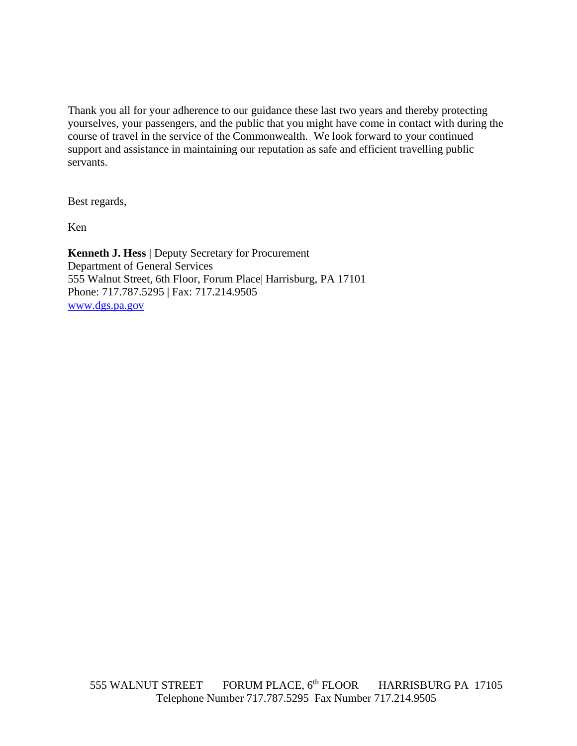Thank you all for your adherence to our guidance these last two years and thereby protecting yourselves, your passengers, and the public that you might have come in contact with during the course of travel in the service of the Commonwealth. We look forward to your continued support and assistance in maintaining our reputation as safe and efficient travelling public servants.

Best regards,

Ken

**Kenneth J. Hess |** Deputy Secretary for Procurement Department of General Services 555 Walnut Street, 6th Floor, Forum Place| Harrisburg, PA 17101 Phone: 717.787.5295 | Fax: 717.214.9505 [www.dgs.pa.gov](http://www.dgs.pa.gov/)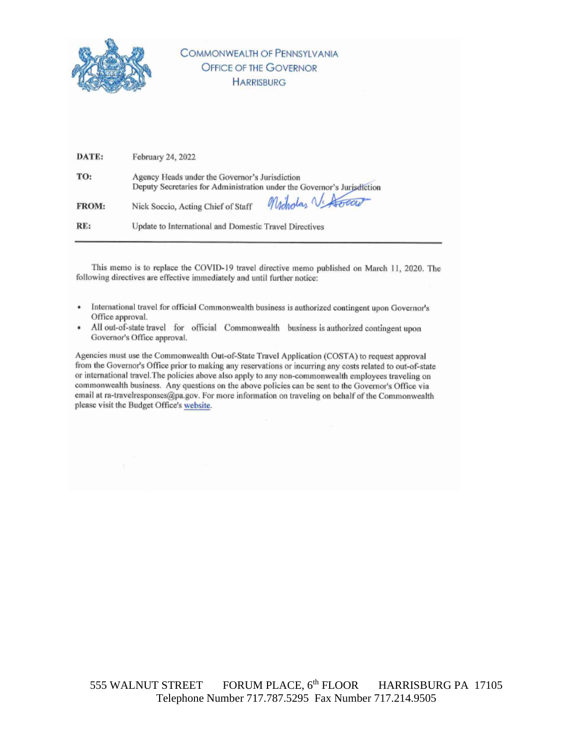

## **COMMONWEALTH OF PENNSYLVANIA OFFICE OF THE GOVERNOR HARRISBURG**

| DATE:        | February 24, 2022                                                                                                         |
|--------------|---------------------------------------------------------------------------------------------------------------------------|
| TO:          | Agency Heads under the Governor's Jurisdiction<br>Deputy Secretaries for Administration under the Governor's Jurisdiction |
| <b>FROM:</b> | Mododaz V. Hocar<br>Nick Soccio, Acting Chief of Staff                                                                    |
| RE:          | Update to International and Domestic Travel Directives                                                                    |

This memo is to replace the COVID-19 travel directive memo published on March 11, 2020. The following directives are effective immediately and until further notice:

- International travel for official Commonwealth business is authorized contingent upon Governor's Office approval.
- All out-of-state travel for official Commonwealth business is authorized contingent upon Governor's Office approval.

Agencies must use the Commonwealth Out-of-State Travel Application (COSTA) to request approval from the Governor's Office prior to making any reservations or incurring any costs related to out-of-state or international travel. The policies above also apply to any non-commonwealth employees traveling on commonwealth business. Any questions on the above policies can be sent to the Governor's Office via email at ra-travelresponses@pa.gov. For more information on traveling on behalf of the Commonwealth please visit the Budget Office's website.